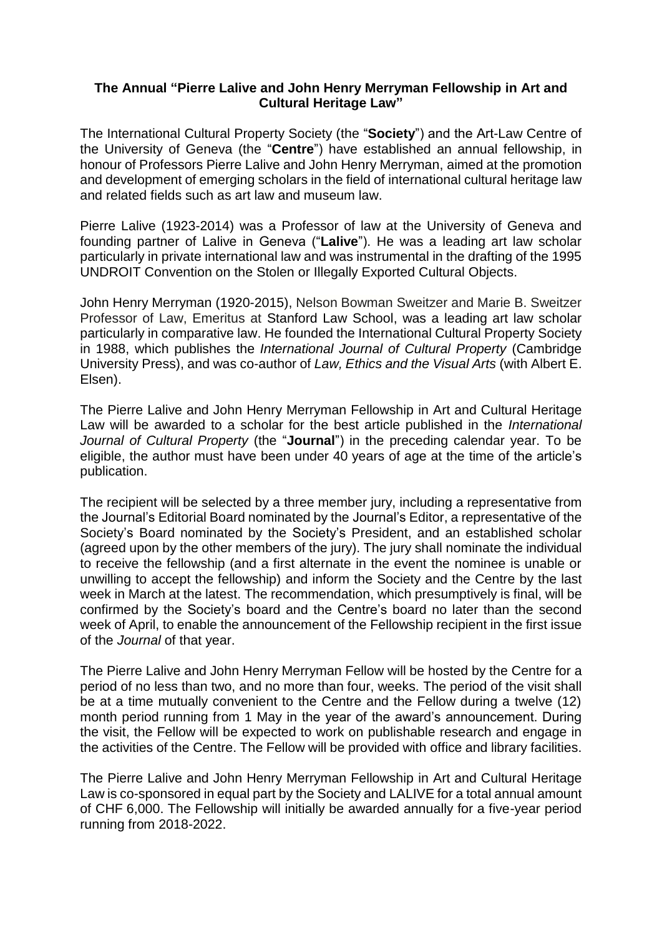## **The Annual "Pierre Lalive and John Henry Merryman Fellowship in Art and Cultural Heritage Law"**

The International Cultural Property Society (the "**Society**") and the Art-Law Centre of the University of Geneva (the "**Centre**") have established an annual fellowship, in honour of Professors Pierre Lalive and John Henry Merryman, aimed at the promotion and development of emerging scholars in the field of international cultural heritage law and related fields such as art law and museum law.

Pierre Lalive (1923-2014) was a Professor of law at the University of Geneva and founding partner of Lalive in Geneva ("**Lalive**"). He was a leading art law scholar particularly in private international law and was instrumental in the drafting of the 1995 UNDROIT Convention on the Stolen or Illegally Exported Cultural Objects.

John Henry Merryman (1920-2015), Nelson Bowman Sweitzer and Marie B. Sweitzer Professor of Law, Emeritus at Stanford Law School, was a leading art law scholar particularly in comparative law. He founded the International Cultural Property Society in 1988, which publishes the *International Journal of Cultural Property* (Cambridge University Press), and was co-author of *Law, Ethics and the Visual Arts* (with Albert E. Elsen).

The Pierre Lalive and John Henry Merryman Fellowship in Art and Cultural Heritage Law will be awarded to a scholar for the best article published in the *International Journal of Cultural Property* (the "**Journal**") in the preceding calendar year. To be eligible, the author must have been under 40 years of age at the time of the article's publication.

The recipient will be selected by a three member jury, including a representative from the Journal's Editorial Board nominated by the Journal's Editor, a representative of the Society's Board nominated by the Society's President, and an established scholar (agreed upon by the other members of the jury). The jury shall nominate the individual to receive the fellowship (and a first alternate in the event the nominee is unable or unwilling to accept the fellowship) and inform the Society and the Centre by the last week in March at the latest. The recommendation, which presumptively is final, will be confirmed by the Society's board and the Centre's board no later than the second week of April, to enable the announcement of the Fellowship recipient in the first issue of the *Journal* of that year.

The Pierre Lalive and John Henry Merryman Fellow will be hosted by the Centre for a period of no less than two, and no more than four, weeks. The period of the visit shall be at a time mutually convenient to the Centre and the Fellow during a twelve (12) month period running from 1 May in the year of the award's announcement. During the visit, the Fellow will be expected to work on publishable research and engage in the activities of the Centre. The Fellow will be provided with office and library facilities.

The Pierre Lalive and John Henry Merryman Fellowship in Art and Cultural Heritage Law is co-sponsored in equal part by the Society and LALIVE for a total annual amount of CHF 6,000. The Fellowship will initially be awarded annually for a five-year period running from 2018-2022.